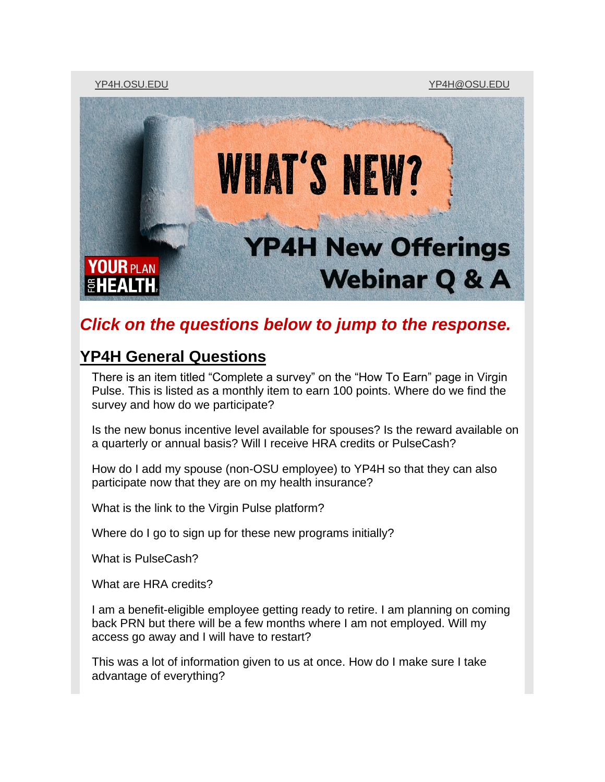[YP4H.OSU.EDU](https://yp4h.osu.edu/) [YP4H@OSU.EDU](mailto:yp4h@osu.edu)



# *Click on the questions below to jump to the response.*

# **[YP4H General Questions](#page-4-0)**

[There is an item titled "Complete a survey" on the "How To Earn" page in Virgin](#page-4-1)  [Pulse. This is listed as a monthly item to earn 100 points. Where do we find the](#page-4-1)  survey and [how do we participate?](#page-4-1)

[Is the new bonus incentive level available for spouses? Is the reward available on](#page-4-2)  [a quarterly or annual basis? Will I receive HRA credits or PulseCash?](#page-4-2)

[How do I add my spouse \(non-OSU employee\) to YP4H so that they can also](#page-5-0)  [participate now that they are on my health insurance?](#page-5-0)

[What is the link to the Virgin Pulse platform?](#page-5-1)

[Where do I go to sign up for these new programs initially?](#page-5-2)

[What is PulseCash?](#page-5-3)

[What are HRA credits?](#page-5-4)

[I am a benefit-eligible employee getting ready to retire. I am planning on coming](#page-5-5)  [back PRN but there will be a few months where I am not employed. Will my](#page-5-5)  [access go away and I will have to restart?](#page-5-5)

[This was a lot of information given to us at once. How do I make sure I take](#page-6-0)  [advantage of everything?](#page-6-0)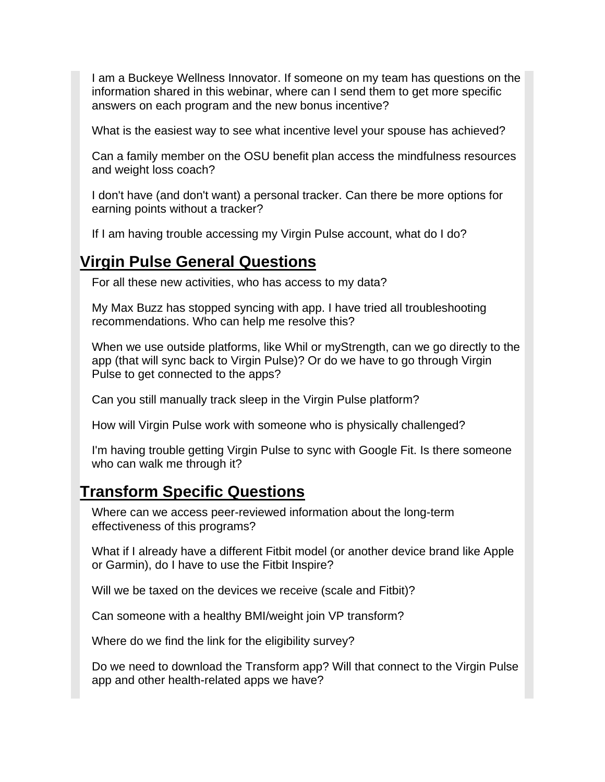[I am a Buckeye Wellness Innovator. If someone on my team has questions on the](#page-6-1)  [information shared in this webinar, where can I send them to get more specific](#page-6-1)  [answers on each program and the new bonus incentive?](#page-6-1)

[What is the easiest way to see what incentive level your spouse has achieved?](#page-6-2)

[Can a family member on the OSU benefit plan access the mindfulness resources](#page-6-3)  [and weight loss coach?](#page-6-3)

[I don't have \(and don't want\) a personal tracker. Can there be more options for](#page-7-0)  [earning points without a tracker?](#page-7-0)

[If I am having trouble accessing my Virgin Pulse account,](#page-7-1) what do I do?

# **[Virgin Pulse General Questions](#page-7-2)**

[For all these new activities, who has access to my data?](#page-7-3)

[My Max Buzz has stopped syncing with app. I have tried all troubleshooting](#page-8-0)  [recommendations. Who can help me resolve this?](#page-8-0)

[When we use outside platforms, like Whil or myStrength, can we go directly to the](#page-8-1)  [app \(that will sync back to Virgin Pulse\)? Or do we have to go through Virgin](#page-8-1)  [Pulse to get connected to the apps?](#page-8-1)

[Can you still manually track sleep in the Virgin Pulse platform?](#page-8-2)

[How will Virgin Pulse work with someone who is physically challenged?](#page-8-3)

[I'm having trouble getting Virgin Pulse to sync with Google Fit. Is there someone](#page-9-0)  [who can walk me through it?](#page-9-0)

# **[Transform Specific Questions](#page-9-1)**

[Where can we access peer-reviewed information about the long-term](#page-9-2)  [effectiveness of this programs?](#page-9-2)

[What if I already have a different Fitbit model \(or another device brand like Apple](#page-10-0)  or Garmin), [do I have to use the Fitbit Inspire?](#page-10-0)

[Will we be taxed on the devices we receive \(scale and Fitbit\)?](#page-10-1)

[Can someone with a healthy BMI/weight join VP transform?](#page-10-2)

[Where do we find the link for the eligibility survey?](#page-10-3)

[Do we need to download the Transform app? Will that connect to the Virgin Pulse](#page-11-0)  [app and other health-related apps we have?](#page-11-0)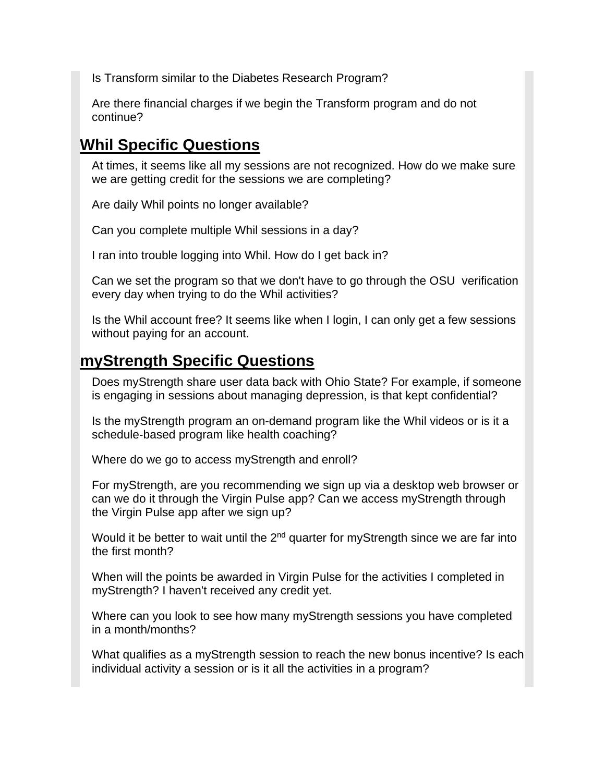[Is Transform similar to the Diabetes Research Program?](#page-11-1)

[Are there financial charges if we begin the Transform program and do not](#page-11-2)  [continue?](#page-11-2)

# **[Whil Specific Questions](#page-11-3)**

[At times, it seems like all my sessions are not recognized. How do we make sure](#page-12-0)  [we are getting credit for the sessions we are completing?](#page-12-0)

[Are daily Whil points no longer available?](#page-12-1)

[Can you complete multiple Whil sessions in a day?](#page-12-2)

[I ran into trouble logging into Whil. How do I get back in?](#page-13-0)

[Can we set the program so that we don't have to go through the OSU verification](#page-13-1)  [every day when trying to do the Whil activities?](#page-13-1)

[Is the Whil account free? It seems like when I login, I can only get a few sessions](#page-13-2)  [without paying for an account.](#page-13-2)

# **[myStrength Specific Questions](#page-14-0)**

[Does myStrength share user data back with Ohio State? For example, if someone](#page-14-1)  [is engaging in sessions about managing depression, is that kept confidential?](#page-14-1)

[Is the myStrength program an on-demand program like the Whil videos or is it a](#page-14-2)  [schedule-based program like health coaching?](#page-14-2)

[Where do we go to access myStrength and enroll?](#page-14-3)

[For myStrength, are you recommending we sign up via a desktop web browser or](#page-15-0)  [can we do it through the Virgin Pulse app? Can we access myStrength through](#page-15-0)  [the Virgin Pulse app after we sign up?](#page-15-0)

Would it be better to wait until the  $2<sup>nd</sup>$  quarter for myStrength since we are far into [the first month?](#page-15-1)

[When will the points be awarded in Virgin Pulse for the activities I completed in](#page-15-2)  [myStrength? I haven't received any credit yet.](#page-15-2)

[Where can you look to see how many myStrength sessions you have completed](#page-15-3)  [in a month/months?](#page-15-3)

What qualifies as a myStrength session to reach the new bonus incentive? Is each individual activity [a session or is it all the activities in a program?](#page-16-0)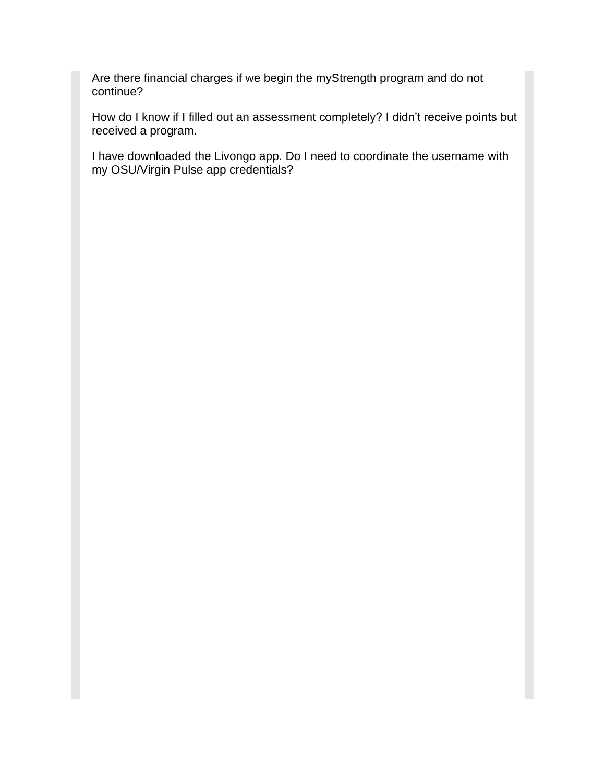[Are there financial charges if we begin the myStrength program and do not](#page-16-1)  [continue?](#page-16-1)

[How do I know if I filled out an assessment completely? I didn't receive points but](#page-16-2)  [received a program.](#page-16-2)

[I have downloaded the Livongo app. Do I need to coordinate the username with](#page-16-3)  [my OSU/Virgin Pulse app credentials?](#page-16-3)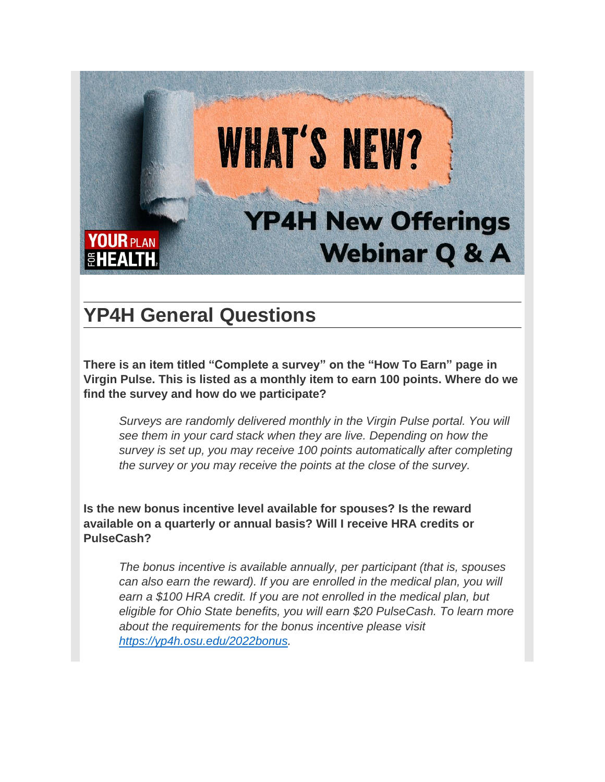

# <span id="page-4-0"></span>**YP4H General Questions**

<span id="page-4-1"></span>**There is an item titled "Complete a survey" on the "How To Earn" page in Virgin Pulse. This is listed as a monthly item to earn 100 points. Where do we find the survey and how do we participate?**

*Surveys are randomly delivered monthly in the Virgin Pulse portal. You will see them in your card stack when they are live. Depending on how the survey is set up, you may receive 100 points automatically after completing the survey or you may receive the points at the close of the survey.*

<span id="page-4-2"></span>**Is the new bonus incentive level available for spouses? Is the reward available on a quarterly or annual basis? Will I receive HRA credits or PulseCash?**

*The bonus incentive is available annually, per participant (that is, spouses can also earn the reward). If you are enrolled in the medical plan, you will earn a \$100 HRA credit. If you are not enrolled in the medical plan, but eligible for Ohio State benefits, you will earn \$20 PulseCash. To learn more about the requirements for the bonus incentive please visit [https://yp4h.osu.edu/2022bonus.](https://yp4h.osu.edu/2022bonus)*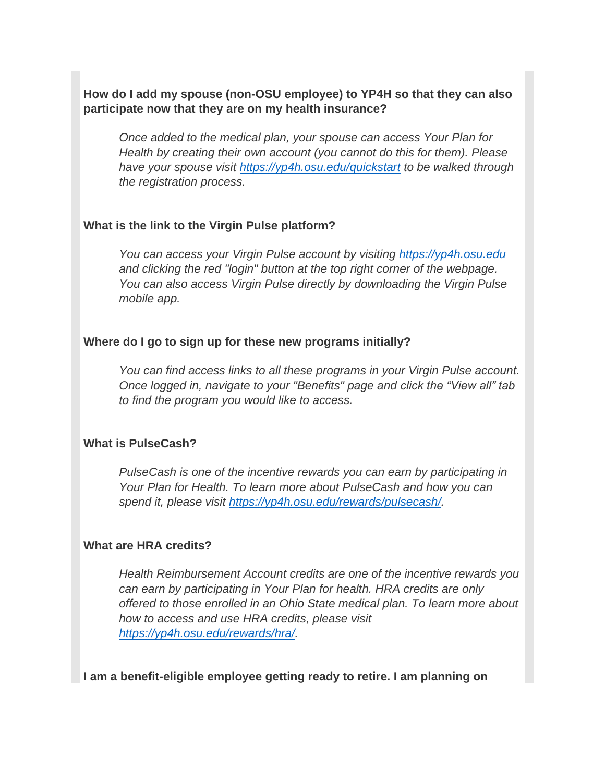<span id="page-5-0"></span>**How do I add my spouse (non-OSU employee) to YP4H so that they can also participate now that they are on my health insurance?**

*Once added to the medical plan, your spouse can access Your Plan for Health by creating their own account (you cannot do this for them). Please have your spouse visit <https://yp4h.osu.edu/quickstart> to be walked through the registration process.*

### <span id="page-5-1"></span>**What is the link to the Virgin Pulse platform?**

*You can access your Virgin Pulse account by visiting [https://yp4h.osu.edu](https://yp4h.osu.edu/) and clicking the red "login" button at the top right corner of the webpage. You can also access Virgin Pulse directly by downloading the Virgin Pulse mobile app.*

### <span id="page-5-2"></span>**Where do I go to sign up for these new programs initially?**

*You can find access links to all these programs in your Virgin Pulse account. Once logged in, navigate to your "Benefits" page and click the "View all" tab to find the program you would like to access.*

#### <span id="page-5-3"></span>**What is PulseCash?**

*PulseCash is one of the incentive rewards you can earn by participating in Your Plan for Health. To learn more about PulseCash and how you can spend it, please visit [https://yp4h.osu.edu/rewards/pulsecash/.](https://yp4h.osu.edu/rewards/pulsecash/)*

### <span id="page-5-4"></span>**What are HRA credits?**

*Health Reimbursement Account credits are one of the incentive rewards you can earn by participating in Your Plan for health. HRA credits are only offered to those enrolled in an Ohio State medical plan. To learn more about how to access and use HRA credits, please visit [https://yp4h.osu.edu/rewards/hra/.](https://yp4h.osu.edu/rewards/hra/)*

<span id="page-5-5"></span>**I am a benefit-eligible employee getting ready to retire. I am planning on**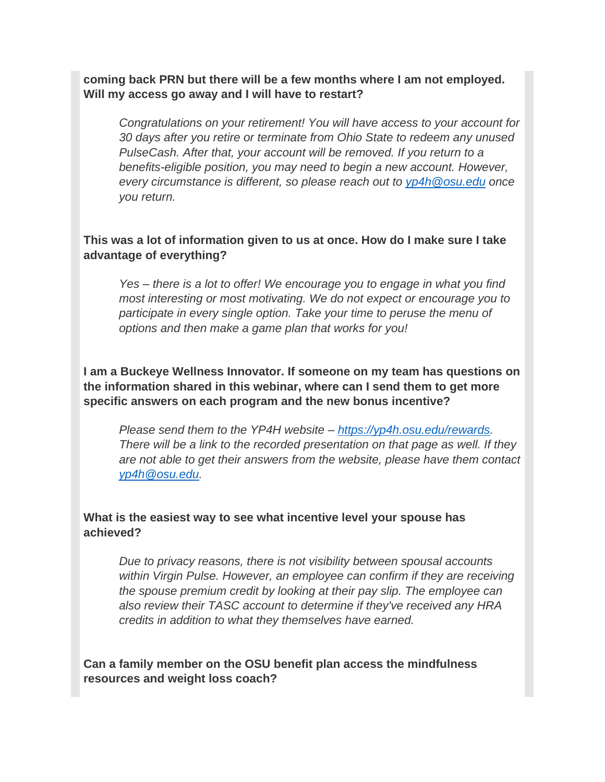**coming back PRN but there will be a few months where I am not employed. Will my access go away and I will have to restart?**

*Congratulations on your retirement! You will have access to your account for 30 days after you retire or terminate from Ohio State to redeem any unused PulseCash. After that, your account will be removed. If you return to a benefits-eligible position, you may need to begin a new account. However, every circumstance is different, so please reach out to [yp4h@osu.edu](mailto:yp4h@osu.edu) once you return.*

## <span id="page-6-0"></span>**This was a lot of information given to us at once. How do I make sure I take advantage of everything?**

*Yes – there is a lot to offer! We encourage you to engage in what you find most interesting or most motivating. We do not expect or encourage you to participate in every single option. Take your time to peruse the menu of options and then make a game plan that works for you!*

<span id="page-6-1"></span>**I am a Buckeye Wellness Innovator. If someone on my team has questions on the information shared in this webinar, where can I send them to get more specific answers on each program and the new bonus incentive?**

*Please send them to the YP4H website – [https://yp4h.osu.edu/rewards.](https://yp4h.osu.edu/rewards) There will be a link to the recorded presentation on that page as well. If they are not able to get their answers from the website, please have them contact [yp4h@osu.edu.](mailto:yp4h@osu.edu)* 

### <span id="page-6-2"></span>**What is the easiest way to see what incentive level your spouse has achieved?**

*Due to privacy reasons, there is not visibility between spousal accounts within Virgin Pulse. However, an employee can confirm if they are receiving the spouse premium credit by looking at their pay slip. The employee can also review their TASC account to determine if they've received any HRA credits in addition to what they themselves have earned.*

<span id="page-6-3"></span>**Can a family member on the OSU benefit plan access the mindfulness resources and weight loss coach?**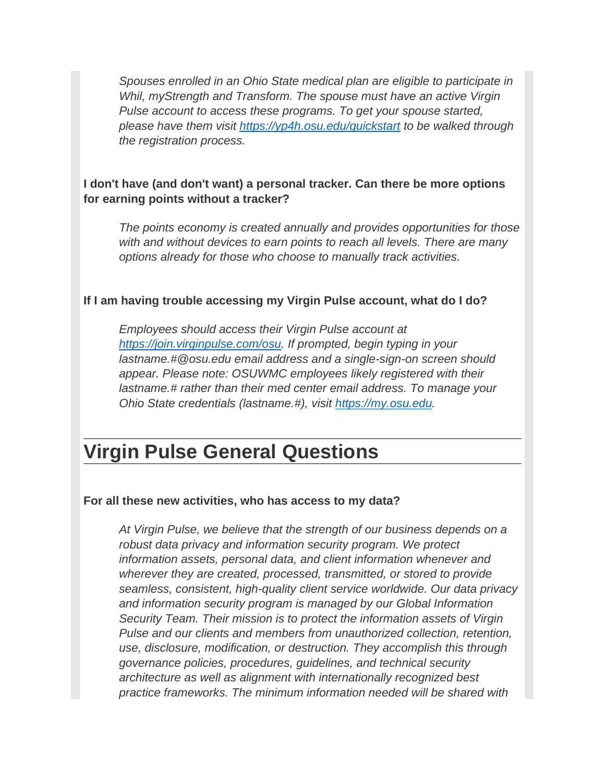*Spouses enrolled in an Ohio State medical plan are eligible to participate in Whil, myStrength and Transform. The spouse must have an active Virgin Pulse account to access these programs. To get your spouse started, please have them visit<https://yp4h.osu.edu/quickstart> to be walked through the registration process.*

## <span id="page-7-0"></span>**I don't have (and don't want) a personal tracker. Can there be more options for earning points without a tracker?**

*The points economy is created annually and provides opportunities for those with and without devices to earn points to reach all levels. There are many options already for those who choose to manually track activities.*

### <span id="page-7-1"></span>**If I am having trouble accessing my Virgin Pulse account, what do I do?**

*Employees should access their Virgin Pulse account at [https://join.virginpulse.com/osu.](https://join.virginpulse.com/osu) If prompted, begin typing in your lastname.#@osu.edu email address and a single-sign-on screen should appear. Please note: OSUWMC employees likely registered with their lastname.# rather than their med center email address. To manage your Ohio State credentials (lastname.#), visit [https://my.osu.edu.](https://my.osu.edu/)*

# <span id="page-7-2"></span>**Virgin Pulse General Questions**

#### <span id="page-7-3"></span>**For all these new activities, who has access to my data?**

*At Virgin Pulse, we believe that the strength of our business depends on a robust data privacy and information security program. We protect information assets, personal data, and client information whenever and wherever they are created, processed, transmitted, or stored to provide seamless, consistent, high-quality client service worldwide. Our data privacy and information security program is managed by our Global Information Security Team. Their mission is to protect the information assets of Virgin Pulse and our clients and members from unauthorized collection, retention, use, disclosure, modification, or destruction. They accomplish this through governance policies, procedures, guidelines, and technical security architecture as well as alignment with internationally recognized best practice frameworks. The minimum information needed will be shared with*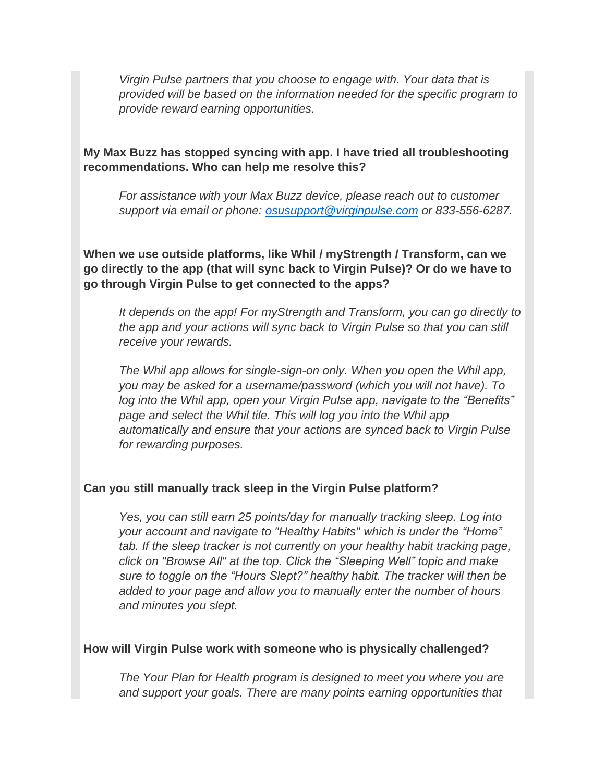*Virgin Pulse partners that you choose to engage with. Your data that is provided will be based on the information needed for the specific program to provide reward earning opportunities.*

<span id="page-8-0"></span>**My Max Buzz has stopped syncing with app. I have tried all troubleshooting recommendations. Who can help me resolve this?**

*For assistance with your Max Buzz device, please reach out to customer support via email or phone: [osusupport@virginpulse.com](mailto:osusupport@virginpulse.com) or 833-556-6287.*

<span id="page-8-1"></span>**When we use outside platforms, like Whil / myStrength / Transform, can we go directly to the app (that will sync back to Virgin Pulse)? Or do we have to go through Virgin Pulse to get connected to the apps?**

*It depends on the app! For myStrength and Transform, you can go directly to the app and your actions will sync back to Virgin Pulse so that you can still receive your rewards.*

*The Whil app allows for single-sign-on only. When you open the Whil app, you may be asked for a username/password (which you will not have). To log into the Whil app, open your Virgin Pulse app, navigate to the "Benefits" page and select the Whil tile. This will log you into the Whil app automatically and ensure that your actions are synced back to Virgin Pulse for rewarding purposes.*

#### <span id="page-8-2"></span>**Can you still manually track sleep in the Virgin Pulse platform?**

*Yes, you can still earn 25 points/day for manually tracking sleep. Log into your account and navigate to "Healthy Habits" which is under the "Home" tab. If the sleep tracker is not currently on your healthy habit tracking page, click on "Browse All" at the top. Click the "Sleeping Well" topic and make sure to toggle on the "Hours Slept?" healthy habit. The tracker will then be added to your page and allow you to manually enter the number of hours and minutes you slept.*

#### <span id="page-8-3"></span>**How will Virgin Pulse work with someone who is physically challenged?**

*The Your Plan for Health program is designed to meet you where you are and support your goals. There are many points earning opportunities that*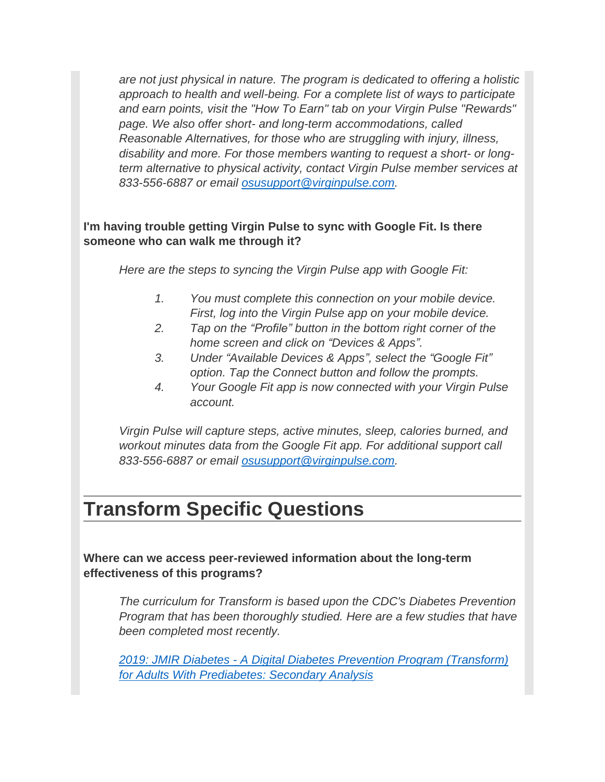*are not just physical in nature. The program is dedicated to offering a holistic approach to health and well-being. For a complete list of ways to participate and earn points, visit the "How To Earn" tab on your Virgin Pulse "Rewards" page. We also offer short- and long-term accommodations, called Reasonable Alternatives, for those who are struggling with injury, illness, disability and more. For those members wanting to request a short- or longterm alternative to physical activity, contact Virgin Pulse member services at 833-556-6887 or email [osusupport@virginpulse.com.](mailto:osusupport@virginpulse.com)*

# <span id="page-9-0"></span>**I'm having trouble getting Virgin Pulse to sync with Google Fit. Is there someone who can walk me through it?**

*Here are the steps to syncing the Virgin Pulse app with Google Fit:*

- *1. You must complete this connection on your mobile device. First, log into the Virgin Pulse app on your mobile device.*
- *2. Tap on the "Profile" button in the bottom right corner of the home screen and click on "Devices & Apps".*
- *3. Under "Available Devices & Apps", select the "Google Fit" option. Tap the Connect button and follow the prompts.*
- *4. Your Google Fit app is now connected with your Virgin Pulse account.*

*Virgin Pulse will capture steps, active minutes, sleep, calories burned, and workout minutes data from the Google Fit app. For additional support call 833-556-6887 or email [osusupport@virginpulse.com.](mailto:osusupport@virginpulse.com)*

# <span id="page-9-1"></span>**Transform Specific Questions**

<span id="page-9-2"></span>**Where can we access peer-reviewed information about the long-term effectiveness of this programs?**

*The curriculum for Transform is based upon the CDC's Diabetes Prevention Program that has been thoroughly studied. Here are a few studies that have been completed most recently.* 

*2019: JMIR Diabetes - [A Digital Diabetes Prevention Program \(Transform\)](https://nam02.safelinks.protection.outlook.com/?url=https%3A%2F%2Fdiabetes.jmir.org%2F2019%2F3%2Fe13904&data=04%7C01%7Cjohnna.cunha%40virginpulse.com%7C19909a5c4dee451bdb7b08d9dc3840c5%7Cb123a16e892b4cf6a55a6f8c7606a035%7C0%7C0%7C637782956442620617%7CUnknown%7CTWFpbGZsb3d8eyJWIjoiMC4wLjAwMDAiLCJQIjoiV2luMzIiLCJBTiI6Ik1haWwiLCJXVCI6Mn0%3D%7C3000&sdata=rvkO5pydHpTCYWn6fSQBPuy5O1XCf2fU4qLdYEKbKBo%3D&reserved=0)  [for Adults With Prediabetes: Secondary Analysis](https://nam02.safelinks.protection.outlook.com/?url=https%3A%2F%2Fdiabetes.jmir.org%2F2019%2F3%2Fe13904&data=04%7C01%7Cjohnna.cunha%40virginpulse.com%7C19909a5c4dee451bdb7b08d9dc3840c5%7Cb123a16e892b4cf6a55a6f8c7606a035%7C0%7C0%7C637782956442620617%7CUnknown%7CTWFpbGZsb3d8eyJWIjoiMC4wLjAwMDAiLCJQIjoiV2luMzIiLCJBTiI6Ik1haWwiLCJXVCI6Mn0%3D%7C3000&sdata=rvkO5pydHpTCYWn6fSQBPuy5O1XCf2fU4qLdYEKbKBo%3D&reserved=0)*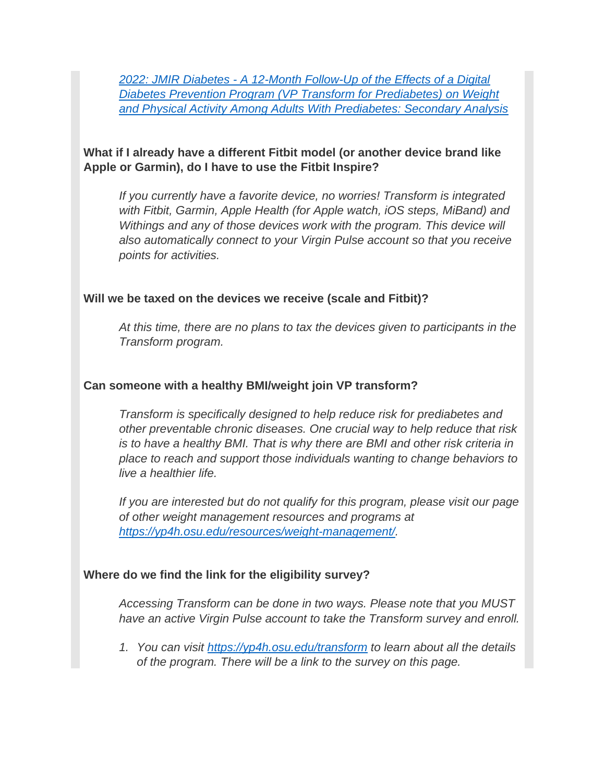*2022: JMIR Diabetes - [A 12-Month Follow-Up of the Effects of a Digital](https://nam02.safelinks.protection.outlook.com/?url=https%3A%2F%2Fdiabetes.jmir.org%2F2022%2F1%2Fe23243&data=04%7C01%7Cjohnna.cunha%40virginpulse.com%7C19909a5c4dee451bdb7b08d9dc3840c5%7Cb123a16e892b4cf6a55a6f8c7606a035%7C0%7C0%7C637782956442620617%7CUnknown%7CTWFpbGZsb3d8eyJWIjoiMC4wLjAwMDAiLCJQIjoiV2luMzIiLCJBTiI6Ik1haWwiLCJXVCI6Mn0%3D%7C3000&sdata=d4Qi0adUtpfU1jjtsTJ5nbWNeNTv6FKO1xv%2Fr5x9xkk%3D&reserved=0)  [Diabetes Prevention Program \(VP Transform for Prediabetes\) on Weight](https://nam02.safelinks.protection.outlook.com/?url=https%3A%2F%2Fdiabetes.jmir.org%2F2022%2F1%2Fe23243&data=04%7C01%7Cjohnna.cunha%40virginpulse.com%7C19909a5c4dee451bdb7b08d9dc3840c5%7Cb123a16e892b4cf6a55a6f8c7606a035%7C0%7C0%7C637782956442620617%7CUnknown%7CTWFpbGZsb3d8eyJWIjoiMC4wLjAwMDAiLCJQIjoiV2luMzIiLCJBTiI6Ik1haWwiLCJXVCI6Mn0%3D%7C3000&sdata=d4Qi0adUtpfU1jjtsTJ5nbWNeNTv6FKO1xv%2Fr5x9xkk%3D&reserved=0)  [and Physical Activity Among Adults With Prediabetes: Secondary Analysis](https://nam02.safelinks.protection.outlook.com/?url=https%3A%2F%2Fdiabetes.jmir.org%2F2022%2F1%2Fe23243&data=04%7C01%7Cjohnna.cunha%40virginpulse.com%7C19909a5c4dee451bdb7b08d9dc3840c5%7Cb123a16e892b4cf6a55a6f8c7606a035%7C0%7C0%7C637782956442620617%7CUnknown%7CTWFpbGZsb3d8eyJWIjoiMC4wLjAwMDAiLCJQIjoiV2luMzIiLCJBTiI6Ik1haWwiLCJXVCI6Mn0%3D%7C3000&sdata=d4Qi0adUtpfU1jjtsTJ5nbWNeNTv6FKO1xv%2Fr5x9xkk%3D&reserved=0)*

### <span id="page-10-0"></span>**What if I already have a different Fitbit model (or another device brand like Apple or Garmin), do I have to use the Fitbit Inspire?**

*If you currently have a favorite device, no worries! Transform is integrated with Fitbit, Garmin, Apple Health (for Apple watch, iOS steps, MiBand) and Withings and any of those devices work with the program. This device will also automatically connect to your Virgin Pulse account so that you receive points for activities.*

### <span id="page-10-1"></span>**Will we be taxed on the devices we receive (scale and Fitbit)?**

*At this time, there are no plans to tax the devices given to participants in the Transform program.*

### <span id="page-10-2"></span>**Can someone with a healthy BMI/weight join VP transform?**

*Transform is specifically designed to help reduce risk for prediabetes and other preventable chronic diseases. One crucial way to help reduce that risk is to have a healthy BMI. That is why there are BMI and other risk criteria in place to reach and support those individuals wanting to change behaviors to live a healthier life.*

*If you are interested but do not qualify for this program, please visit our page of other weight management resources and programs at [https://yp4h.osu.edu/resources/weight-management/.](https://yp4h.osu.edu/resources/weight-management/)*

### <span id="page-10-3"></span>**Where do we find the link for the eligibility survey?**

*Accessing Transform can be done in two ways. Please note that you MUST have an active Virgin Pulse account to take the Transform survey and enroll.*

*1. You can visit<https://yp4h.osu.edu/transform> to learn about all the details of the program. There will be a link to the survey on this page.*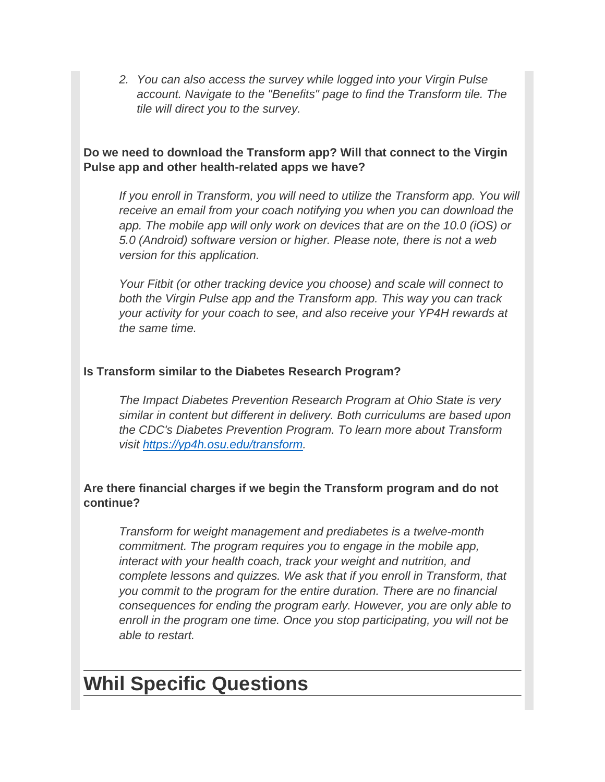*2. You can also access the survey while logged into your Virgin Pulse account. Navigate to the "Benefits" page to find the Transform tile. The tile will direct you to the survey.*

## <span id="page-11-0"></span>**Do we need to download the Transform app? Will that connect to the Virgin Pulse app and other health-related apps we have?**

*If you enroll in Transform, you will need to utilize the Transform app. You will receive an email from your coach notifying you when you can download the app. The mobile app will only work on devices that are on the 10.0 (iOS) or 5.0 (Android) software version or higher. Please note, there is not a web version for this application.*

*Your Fitbit (or other tracking device you choose) and scale will connect to both the Virgin Pulse app and the Transform app. This way you can track your activity for your coach to see, and also receive your YP4H rewards at the same time.*

## <span id="page-11-1"></span>**Is Transform similar to the Diabetes Research Program?**

*The Impact Diabetes Prevention Research Program at Ohio State is very similar in content but different in delivery. Both curriculums are based upon the CDC's Diabetes Prevention Program. To learn more about Transform visit [https://yp4h.osu.edu/transform.](https://yp4h.osu.edu/transform)*

# <span id="page-11-2"></span>**Are there financial charges if we begin the Transform program and do not continue?**

*Transform for weight management and prediabetes is a twelve-month commitment. The program requires you to engage in the mobile app, interact with your health coach, track your weight and nutrition, and complete lessons and quizzes. We ask that if you enroll in Transform, that you commit to the program for the entire duration. There are no financial consequences for ending the program early. However, you are only able to enroll in the program one time. Once you stop participating, you will not be able to restart.*

# <span id="page-11-3"></span>**Whil Specific Questions**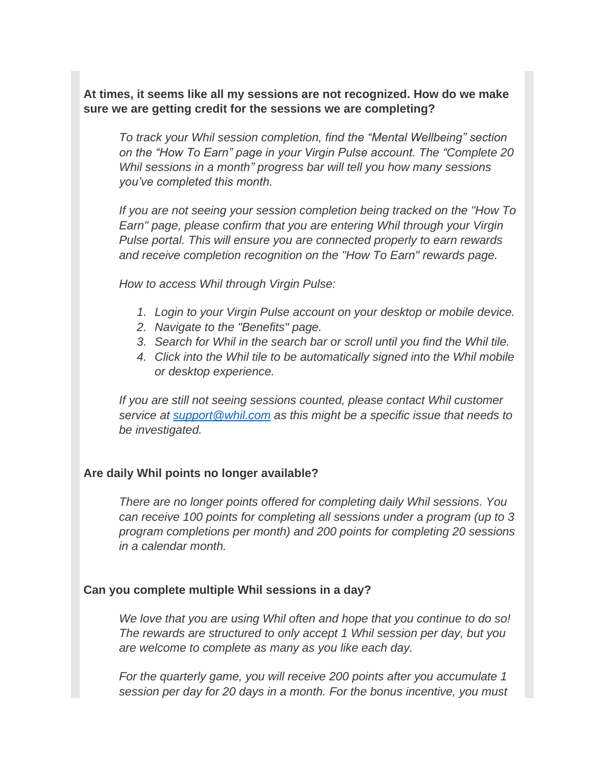<span id="page-12-0"></span>**At times, it seems like all my sessions are not recognized. How do we make sure we are getting credit for the sessions we are completing?**

*To track your Whil session completion, find the "Mental Wellbeing" section on the "How To Earn" page in your Virgin Pulse account. The "Complete 20 Whil sessions in a month" progress bar will tell you how many sessions you've completed this month.*

*If you are not seeing your session completion being tracked on the "How To Earn" page, please confirm that you are entering Whil through your Virgin Pulse portal. This will ensure you are connected properly to earn rewards and receive completion recognition on the "How To Earn" rewards page.*

*How to access Whil through Virgin Pulse:*

- *1. Login to your Virgin Pulse account on your desktop or mobile device.*
- *2. Navigate to the "Benefits" page.*
- *3. Search for Whil in the search bar or scroll until you find the Whil tile.*
- *4. Click into the Whil tile to be automatically signed into the Whil mobile or desktop experience.*

*If you are still not seeing sessions counted, please contact Whil customer service at [support@whil.com](mailto:support@whil.com) as this might be a specific issue that needs to be investigated.*

### <span id="page-12-1"></span>**Are daily Whil points no longer available?**

*There are no longer points offered for completing daily Whil sessions. You can receive 100 points for completing all sessions under a program (up to 3 program completions per month) and 200 points for completing 20 sessions in a calendar month.*

### <span id="page-12-2"></span>**Can you complete multiple Whil sessions in a day?**

*We love that you are using Whil often and hope that you continue to do so! The rewards are structured to only accept 1 Whil session per day, but you are welcome to complete as many as you like each day.* 

*For the quarterly game, you will receive 200 points after you accumulate 1 session per day for 20 days in a month. For the bonus incentive, you must*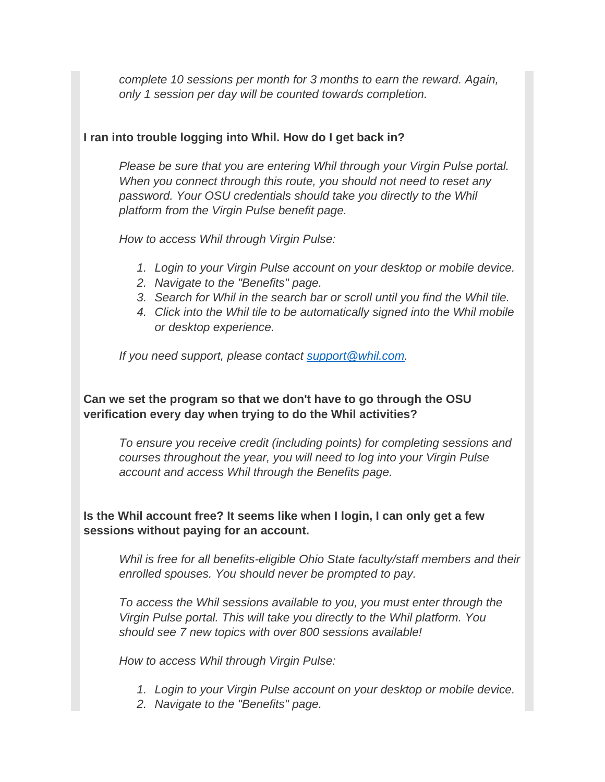*complete 10 sessions per month for 3 months to earn the reward. Again, only 1 session per day will be counted towards completion.*

## <span id="page-13-0"></span>**I ran into trouble logging into Whil. How do I get back in?**

*Please be sure that you are entering Whil through your Virgin Pulse portal. When you connect through this route, you should not need to reset any password. Your OSU credentials should take you directly to the Whil platform from the Virgin Pulse benefit page.*

*How to access Whil through Virgin Pulse:*

- *1. Login to your Virgin Pulse account on your desktop or mobile device.*
- *2. Navigate to the "Benefits" page.*
- *3. Search for Whil in the search bar or scroll until you find the Whil tile.*
- *4. Click into the Whil tile to be automatically signed into the Whil mobile or desktop experience.*

*If you need support, please contact [support@whil.com.](mailto:support@whil.com)*

# <span id="page-13-1"></span>**Can we set the program so that we don't have to go through the OSU verification every day when trying to do the Whil activities?**

*To ensure you receive credit (including points) for completing sessions and courses throughout the year, you will need to log into your Virgin Pulse account and access Whil through the Benefits page.*

<span id="page-13-2"></span>**Is the Whil account free? It seems like when I login, I can only get a few sessions without paying for an account.**

*Whil is free for all benefits-eligible Ohio State faculty/staff members and their enrolled spouses. You should never be prompted to pay.*

*To access the Whil sessions available to you, you must enter through the Virgin Pulse portal. This will take you directly to the Whil platform. You should see 7 new topics with over 800 sessions available!*

*How to access Whil through Virgin Pulse:*

- *1. Login to your Virgin Pulse account on your desktop or mobile device.*
- *2. Navigate to the "Benefits" page.*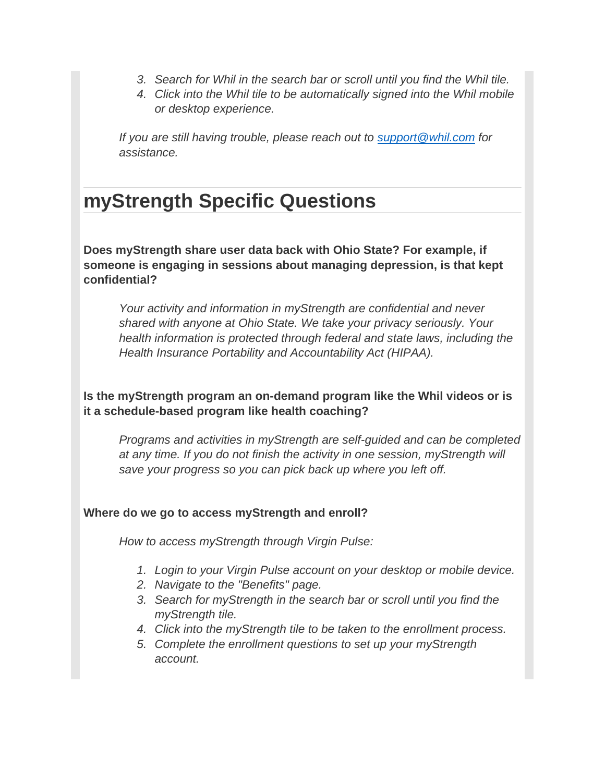- *3. Search for Whil in the search bar or scroll until you find the Whil tile.*
- *4. Click into the Whil tile to be automatically signed into the Whil mobile or desktop experience.*

*If you are still having trouble, please reach out to [support@whil.com](mailto:support@whil.com) for assistance.*

# <span id="page-14-0"></span>**myStrength Specific Questions**

<span id="page-14-1"></span>**Does myStrength share user data back with Ohio State? For example, if someone is engaging in sessions about managing depression, is that kept confidential?**

*Your activity and information in myStrength are confidential and never shared with anyone at Ohio State. We take your privacy seriously. Your health information is protected through federal and state laws, including the Health Insurance Portability and Accountability Act (HIPAA).*

<span id="page-14-2"></span>**Is the myStrength program an on-demand program like the Whil videos or is it a schedule-based program like health coaching?**

*Programs and activities in myStrength are self-guided and can be completed at any time. If you do not finish the activity in one session, myStrength will save your progress so you can pick back up where you left off.*

# <span id="page-14-3"></span>**Where do we go to access myStrength and enroll?**

*How to access myStrength through Virgin Pulse:*

- *1. Login to your Virgin Pulse account on your desktop or mobile device.*
- *2. Navigate to the "Benefits" page.*
- *3. Search for myStrength in the search bar or scroll until you find the myStrength tile.*
- *4. Click into the myStrength tile to be taken to the enrollment process.*
- *5. Complete the enrollment questions to set up your myStrength account.*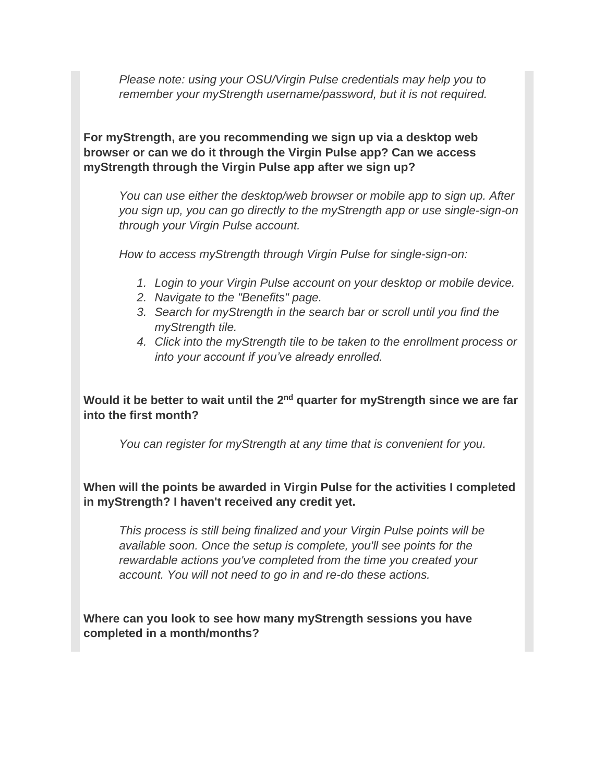*Please note: using your OSU/Virgin Pulse credentials may help you to remember your myStrength username/password, but it is not required.*

<span id="page-15-0"></span>**For myStrength, are you recommending we sign up via a desktop web browser or can we do it through the Virgin Pulse app? Can we access myStrength through the Virgin Pulse app after we sign up?**

*You can use either the desktop/web browser or mobile app to sign up. After you sign up, you can go directly to the myStrength app or use single-sign-on through your Virgin Pulse account.*

*How to access myStrength through Virgin Pulse for single-sign-on:*

- *1. Login to your Virgin Pulse account on your desktop or mobile device.*
- *2. Navigate to the "Benefits" page.*
- *3. Search for myStrength in the search bar or scroll until you find the myStrength tile.*
- *4. Click into the myStrength tile to be taken to the enrollment process or into your account if you've already enrolled.*

<span id="page-15-1"></span>Would it be better to wait until the 2<sup>nd</sup> quarter for myStrength since we are far **into the first month?**

*You can register for myStrength at any time that is convenient for you.*

<span id="page-15-2"></span>**When will the points be awarded in Virgin Pulse for the activities I completed in myStrength? I haven't received any credit yet.**

*This process is still being finalized and your Virgin Pulse points will be available soon. Once the setup is complete, you'll see points for the rewardable actions you've completed from the time you created your account. You will not need to go in and re-do these actions.*

<span id="page-15-3"></span>**Where can you look to see how many myStrength sessions you have completed in a month/months?**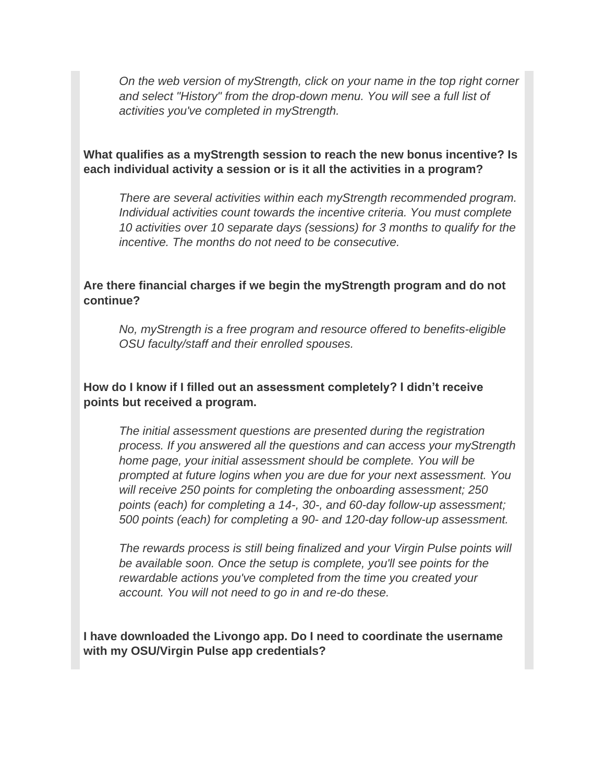*On the web version of myStrength, click on your name in the top right corner and select "History" from the drop-down menu. You will see a full list of activities you've completed in myStrength.*

### <span id="page-16-0"></span>**What qualifies as a myStrength session to reach the new bonus incentive? Is each individual activity a session or is it all the activities in a program?**

*There are several activities within each myStrength recommended program. Individual activities count towards the incentive criteria. You must complete 10 activities over 10 separate days (sessions) for 3 months to qualify for the incentive. The months do not need to be consecutive.*

## <span id="page-16-1"></span>**Are there financial charges if we begin the myStrength program and do not continue?**

*No, myStrength is a free program and resource offered to benefits-eligible OSU faculty/staff and their enrolled spouses.*

## <span id="page-16-2"></span>**How do I know if I filled out an assessment completely? I didn't receive points but received a program.**

*The initial assessment questions are presented during the registration process. If you answered all the questions and can access your myStrength home page, your initial assessment should be complete. You will be prompted at future logins when you are due for your next assessment. You will receive 250 points for completing the onboarding assessment; 250 points (each) for completing a 14-, 30-, and 60-day follow-up assessment; 500 points (each) for completing a 90- and 120-day follow-up assessment.*

*The rewards process is still being finalized and your Virgin Pulse points will be available soon. Once the setup is complete, you'll see points for the rewardable actions you've completed from the time you created your account. You will not need to go in and re-do these.*

<span id="page-16-3"></span>**I have downloaded the Livongo app. Do I need to coordinate the username with my OSU/Virgin Pulse app credentials?**